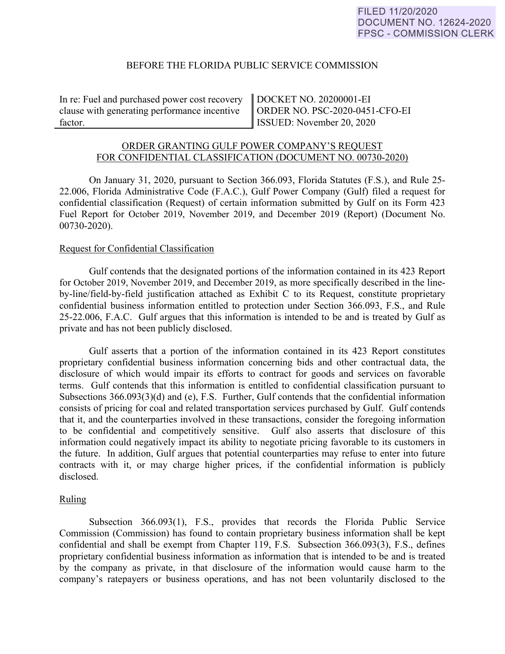## BEFORE THE FLORIDA PUBLIC SERVICE COMMISSION

In re: Fuel and purchased power cost recovery clause with generating performance incentive factor.

DOCKET NO. 20200001-EI ORDER NO. PSC-2020-0451-CFO-EI ISSUED: November 20, 2020

# ORDER GRANTING GULF POWER COMPANY'S REQUEST FOR CONFIDENTIAL CLASSIFICATION (DOCUMENT NO. 00730-2020)

On January 31, 2020, pursuant to Section 366.093, Florida Statutes (F.S.), and Rule 25- 22.006, Florida Administrative Code (F.A.C.), Gulf Power Company (Gulf) filed a request for confidential classification (Request) of certain information submitted by Gulf on its Form 423 Fuel Report for October 2019, November 2019, and December 2019 (Report) (Document No. 00730-2020).

#### Request for Confidential Classification

 Gulf contends that the designated portions of the information contained in its 423 Report for October 2019, November 2019, and December 2019, as more specifically described in the lineby-line/field-by-field justification attached as Exhibit C to its Request, constitute proprietary confidential business information entitled to protection under Section 366.093, F.S., and Rule 25-22.006, F.A.C. Gulf argues that this information is intended to be and is treated by Gulf as private and has not been publicly disclosed.

Gulf asserts that a portion of the information contained in its 423 Report constitutes proprietary confidential business information concerning bids and other contractual data, the disclosure of which would impair its efforts to contract for goods and services on favorable terms. Gulf contends that this information is entitled to confidential classification pursuant to Subsections 366.093(3)(d) and (e), F.S. Further, Gulf contends that the confidential information consists of pricing for coal and related transportation services purchased by Gulf. Gulf contends that it, and the counterparties involved in these transactions, consider the foregoing information to be confidential and competitively sensitive. Gulf also asserts that disclosure of this information could negatively impact its ability to negotiate pricing favorable to its customers in the future. In addition, Gulf argues that potential counterparties may refuse to enter into future contracts with it, or may charge higher prices, if the confidential information is publicly disclosed.

# Ruling

Subsection 366.093(1), F.S., provides that records the Florida Public Service Commission (Commission) has found to contain proprietary business information shall be kept confidential and shall be exempt from Chapter 119, F.S. Subsection 366.093(3), F.S., defines proprietary confidential business information as information that is intended to be and is treated by the company as private, in that disclosure of the information would cause harm to the company's ratepayers or business operations, and has not been voluntarily disclosed to the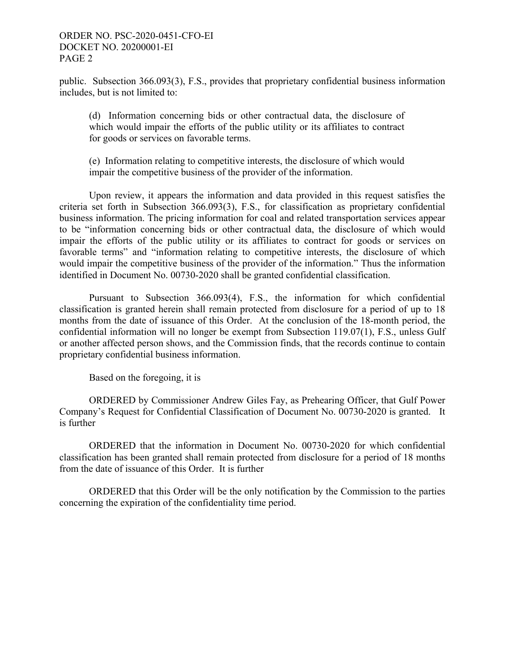## ORDER NO. PSC-2020-0451-CFO-EI DOCKET NO. 20200001-EI PAGE 2

public. Subsection 366.093(3), F.S., provides that proprietary confidential business information includes, but is not limited to:

(d) Information concerning bids or other contractual data, the disclosure of which would impair the efforts of the public utility or its affiliates to contract for goods or services on favorable terms.

(e) Information relating to competitive interests, the disclosure of which would impair the competitive business of the provider of the information.

 Upon review, it appears the information and data provided in this request satisfies the criteria set forth in Subsection 366.093(3), F.S., for classification as proprietary confidential business information. The pricing information for coal and related transportation services appear to be "information concerning bids or other contractual data, the disclosure of which would impair the efforts of the public utility or its affiliates to contract for goods or services on favorable terms" and "information relating to competitive interests, the disclosure of which would impair the competitive business of the provider of the information." Thus the information identified in Document No. 00730-2020 shall be granted confidential classification.

Pursuant to Subsection 366.093(4), F.S., the information for which confidential classification is granted herein shall remain protected from disclosure for a period of up to 18 months from the date of issuance of this Order. At the conclusion of the 18-month period, the confidential information will no longer be exempt from Subsection 119.07(1), F.S., unless Gulf or another affected person shows, and the Commission finds, that the records continue to contain proprietary confidential business information.

Based on the foregoing, it is

 ORDERED by Commissioner Andrew Giles Fay, as Prehearing Officer, that Gulf Power Company's Request for Confidential Classification of Document No. 00730-2020 is granted. It is further

ORDERED that the information in Document No. 00730-2020 for which confidential classification has been granted shall remain protected from disclosure for a period of 18 months from the date of issuance of this Order. It is further

 ORDERED that this Order will be the only notification by the Commission to the parties concerning the expiration of the confidentiality time period.